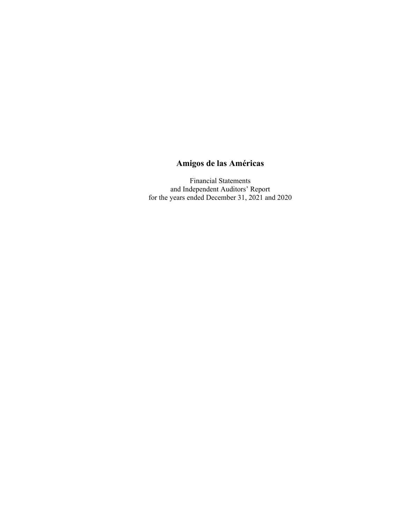Financial Statements and Independent Auditors' Report for the years ended December 31, 2021 and 2020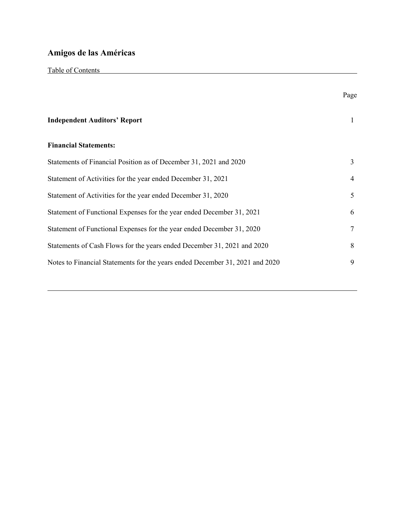|                                                                              | Page |
|------------------------------------------------------------------------------|------|
| <b>Independent Auditors' Report</b>                                          | 1    |
| <b>Financial Statements:</b>                                                 |      |
| Statements of Financial Position as of December 31, 2021 and 2020            | 3    |
| Statement of Activities for the year ended December 31, 2021                 | 4    |
| Statement of Activities for the year ended December 31, 2020                 | 5    |
| Statement of Functional Expenses for the year ended December 31, 2021        | 6    |
| Statement of Functional Expenses for the year ended December 31, 2020        | 7    |
| Statements of Cash Flows for the years ended December 31, 2021 and 2020      | 8    |
| Notes to Financial Statements for the years ended December 31, 2021 and 2020 | 9    |
|                                                                              |      |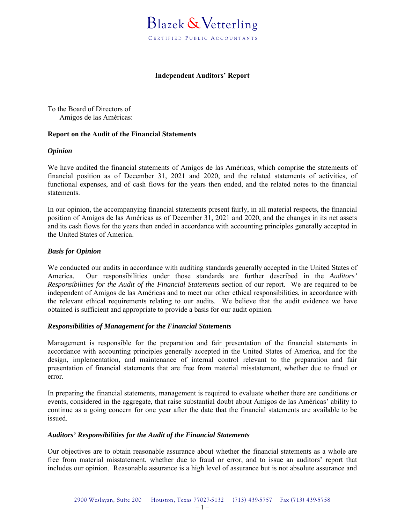

### **Independent Auditors' Report**

To the Board of Directors of Amigos de las Américas:

#### **Report on the Audit of the Financial Statements**

#### *Opinion*

We have audited the financial statements of Amigos de las Américas, which comprise the statements of financial position as of December 31, 2021 and 2020, and the related statements of activities, of functional expenses, and of cash flows for the years then ended, and the related notes to the financial statements.

In our opinion, the accompanying financial statements present fairly, in all material respects, the financial position of Amigos de las Américas as of December 31, 2021 and 2020, and the changes in its net assets and its cash flows for the years then ended in accordance with accounting principles generally accepted in the United States of America.

## *Basis for Opinion*

We conducted our audits in accordance with auditing standards generally accepted in the United States of America. Our responsibilities under those standards are further described in the *Auditors' Responsibilities for the Audit of the Financial Statements* section of our report. We are required to be independent of Amigos de las Américas and to meet our other ethical responsibilities, in accordance with the relevant ethical requirements relating to our audits. We believe that the audit evidence we have obtained is sufficient and appropriate to provide a basis for our audit opinion.

#### *Responsibilities of Management for the Financial Statements*

Management is responsible for the preparation and fair presentation of the financial statements in accordance with accounting principles generally accepted in the United States of America, and for the design, implementation, and maintenance of internal control relevant to the preparation and fair presentation of financial statements that are free from material misstatement, whether due to fraud or error.

In preparing the financial statements, management is required to evaluate whether there are conditions or events, considered in the aggregate, that raise substantial doubt about Amigos de las Américas' ability to continue as a going concern for one year after the date that the financial statements are available to be issued.

#### *Auditors' Responsibilities for the Audit of the Financial Statements*

Our objectives are to obtain reasonable assurance about whether the financial statements as a whole are free from material misstatement, whether due to fraud or error, and to issue an auditors' report that includes our opinion. Reasonable assurance is a high level of assurance but is not absolute assurance and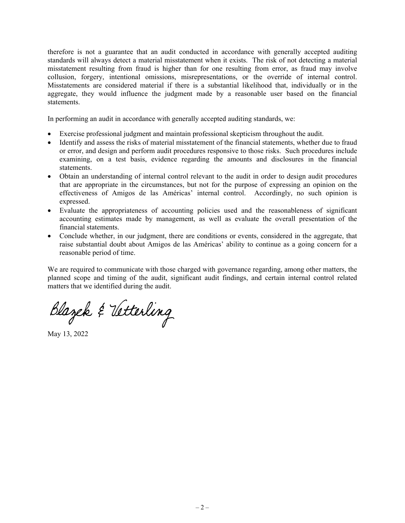therefore is not a guarantee that an audit conducted in accordance with generally accepted auditing standards will always detect a material misstatement when it exists. The risk of not detecting a material misstatement resulting from fraud is higher than for one resulting from error, as fraud may involve collusion, forgery, intentional omissions, misrepresentations, or the override of internal control. Misstatements are considered material if there is a substantial likelihood that, individually or in the aggregate, they would influence the judgment made by a reasonable user based on the financial statements.

In performing an audit in accordance with generally accepted auditing standards, we:

- Exercise professional judgment and maintain professional skepticism throughout the audit.
- Identify and assess the risks of material misstatement of the financial statements, whether due to fraud or error, and design and perform audit procedures responsive to those risks. Such procedures include examining, on a test basis, evidence regarding the amounts and disclosures in the financial statements.
- Obtain an understanding of internal control relevant to the audit in order to design audit procedures that are appropriate in the circumstances, but not for the purpose of expressing an opinion on the effectiveness of Amigos de las Américas' internal control. Accordingly, no such opinion is expressed.
- Evaluate the appropriateness of accounting policies used and the reasonableness of significant accounting estimates made by management, as well as evaluate the overall presentation of the financial statements.
- Conclude whether, in our judgment, there are conditions or events, considered in the aggregate, that raise substantial doubt about Amigos de las Américas' ability to continue as a going concern for a reasonable period of time.

We are required to communicate with those charged with governance regarding, among other matters, the planned scope and timing of the audit, significant audit findings, and certain internal control related matters that we identified during the audit.

Blazek & Vetterling

May 13, 2022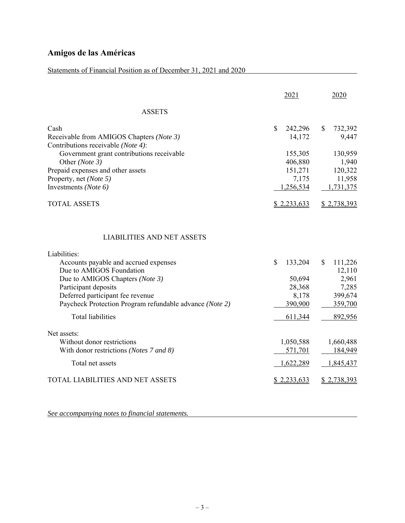## Statements of Financial Position as of December 31, 2021 and 2020

|                                                                                                                                                                                                                                                                         | 2021                                                                                     | 2020                                                                         |
|-------------------------------------------------------------------------------------------------------------------------------------------------------------------------------------------------------------------------------------------------------------------------|------------------------------------------------------------------------------------------|------------------------------------------------------------------------------|
| <b>ASSETS</b>                                                                                                                                                                                                                                                           |                                                                                          |                                                                              |
| Cash<br>Receivable from AMIGOS Chapters (Note 3)<br>Contributions receivable (Note 4):<br>Government grant contributions receivable<br>Other (Note 3)<br>Prepaid expenses and other assets<br>Property, net (Note 5)<br>Investments (Note 6)                            | $\mathbb{S}$<br>242,296<br>14,172<br>155,305<br>406,880<br>151,271<br>7,175<br>1,256,534 | \$<br>732,392<br>9,447<br>130,959<br>1,940<br>120,322<br>11,958<br>1,731,375 |
| <b>TOTAL ASSETS</b><br><b>LIABILITIES AND NET ASSETS</b>                                                                                                                                                                                                                | \$2,233,633                                                                              | \$2,738,393                                                                  |
|                                                                                                                                                                                                                                                                         |                                                                                          |                                                                              |
| Liabilities:<br>Accounts payable and accrued expenses<br>Due to AMIGOS Foundation<br>Due to AMIGOS Chapters (Note 3)<br>Participant deposits<br>Deferred participant fee revenue<br>Paycheck Protection Program refundable advance (Note 2)<br><b>Total liabilities</b> | S<br>133,204<br>50,694<br>28,368<br>8,178<br>390,900<br>611,344                          | \$<br>111,226<br>12,110<br>2,961<br>7,285<br>399,674<br>359,700<br>892,956   |
| Net assets:<br>Without donor restrictions<br>With donor restrictions (Notes 7 and 8)                                                                                                                                                                                    | 1,050,588<br>571,701                                                                     | 1,660,488<br>184,949                                                         |
| Total net assets<br>TOTAL LIABILITIES AND NET ASSETS                                                                                                                                                                                                                    | 1,622,289<br>\$2,233,633                                                                 | 1,845,437<br>\$2,738,393                                                     |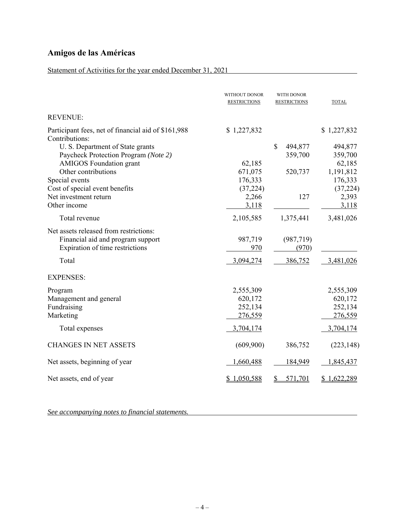## Statement of Activities for the year ended December 31, 2021

|                                                                       | WITHOUT DONOR<br><b>RESTRICTIONS</b> | WITH DONOR<br><b>RESTRICTIONS</b> | <b>TOTAL</b>   |
|-----------------------------------------------------------------------|--------------------------------------|-----------------------------------|----------------|
| <b>REVENUE:</b>                                                       |                                      |                                   |                |
| Participant fees, net of financial aid of \$161,988<br>Contributions: | \$1,227,832                          |                                   | \$1,227,832    |
| U. S. Department of State grants                                      |                                      | \$<br>494,877                     | 494,877        |
| Paycheck Protection Program (Note 2)                                  |                                      | 359,700                           | 359,700        |
| <b>AMIGOS</b> Foundation grant                                        | 62,185                               |                                   | 62,185         |
| Other contributions                                                   | 671,075                              | 520,737                           | 1,191,812      |
| Special events                                                        | 176,333                              |                                   | 176,333        |
| Cost of special event benefits<br>Net investment return               | (37, 224)                            |                                   | (37, 224)      |
| Other income                                                          | 2,266<br>3,118                       | 127                               | 2,393<br>3,118 |
|                                                                       |                                      |                                   |                |
| Total revenue                                                         | 2,105,585                            | 1,375,441                         | 3,481,026      |
| Net assets released from restrictions:                                |                                      |                                   |                |
| Financial aid and program support                                     | 987,719                              | (987, 719)                        |                |
| Expiration of time restrictions                                       | 970                                  | (970)                             |                |
| Total                                                                 | 3,094,274                            | 386,752                           | 3,481,026      |
| <b>EXPENSES:</b>                                                      |                                      |                                   |                |
| Program                                                               | 2,555,309                            |                                   | 2,555,309      |
| Management and general                                                | 620,172                              |                                   | 620,172        |
| Fundraising                                                           | 252,134                              |                                   | 252,134        |
| Marketing                                                             | 276,559                              |                                   | 276,559        |
| Total expenses                                                        | 3,704,174                            |                                   | 3,704,174      |
| <b>CHANGES IN NET ASSETS</b>                                          | (609,900)                            | 386,752                           | (223, 148)     |
| Net assets, beginning of year                                         | 1,660,488                            | 184,949                           | 1,845,437      |
| Net assets, end of year                                               | \$1,050,588                          | 571,701<br>S                      | 1,622,289      |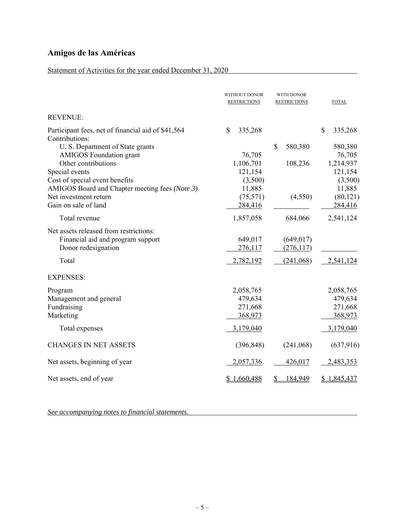## Statement of Activities for the year ended December 31, 2020

|                                                                      | WITHOUT DONOR<br><b>RESTRICTIONS</b> | WITH DONOR<br><b>RESTRICTIONS</b> | <b>TOTAL</b>        |  |
|----------------------------------------------------------------------|--------------------------------------|-----------------------------------|---------------------|--|
| <b>REVENUE:</b>                                                      |                                      |                                   |                     |  |
| Participant fees, net of financial aid of \$41,564<br>Contributions: | 335,268<br>\$                        |                                   | \$<br>335,268       |  |
| U. S. Department of State grants                                     |                                      | $\mathbb{S}$<br>580,380           | 580,380             |  |
| <b>AMIGOS</b> Foundation grant<br>Other contributions                | 76,705<br>1,106,701                  | 108,236                           | 76,705<br>1,214,937 |  |
| Special events                                                       | 121,154                              |                                   | 121,154             |  |
| Cost of special event benefits                                       | (3,500)                              |                                   | (3,500)             |  |
| AMIGOS Board and Chapter meeting fees (Note 3)                       | 11,885                               |                                   | 11,885              |  |
| Net investment return                                                | (75,571)                             | (4,550)                           | (80, 121)           |  |
| Gain on sale of land                                                 | 284,416                              |                                   | 284,416             |  |
| Total revenue                                                        | 1,857,058                            | 684,066                           | 2,541,124           |  |
| Net assets released from restrictions:                               |                                      |                                   |                     |  |
| Financial aid and program support                                    | 649,017                              | (649, 017)                        |                     |  |
| Donor redesignation                                                  | 276,117                              | (276, 117)                        |                     |  |
| Total                                                                | 2,782,192                            | (241,068)                         | 2,541,124           |  |
| <b>EXPENSES:</b>                                                     |                                      |                                   |                     |  |
| Program                                                              | 2,058,765                            |                                   | 2,058,765           |  |
| Management and general                                               | 479,634                              |                                   | 479,634             |  |
| Fundraising                                                          | 271,668                              |                                   | 271,668             |  |
| Marketing                                                            | 368,973                              |                                   | 368,973             |  |
| Total expenses                                                       | 3,179,040                            |                                   | 3,179,040           |  |
| <b>CHANGES IN NET ASSETS</b>                                         | (396, 848)                           | (241,068)                         | (637, 916)          |  |
| Net assets, beginning of year                                        | 2,057,336                            | 426,017                           | 2,483,353           |  |
| Net assets, end of year                                              | \$1,660,488                          | 184,949<br>S                      | \$1,845,437         |  |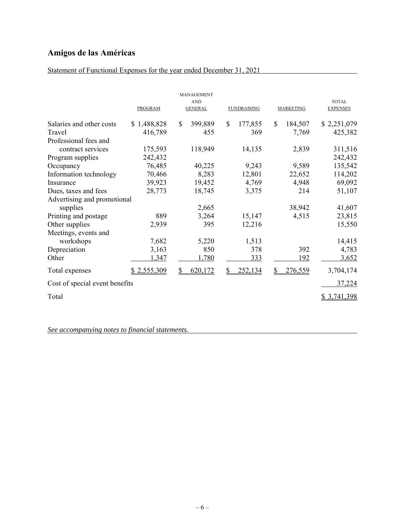## Statement of Functional Expenses for the year ended December 31, 2021

|                                | <b>PROGRAM</b> |    | <b>MANAGEMENT</b><br><b>AND</b><br><b>GENERAL</b> |              | <b>FUNDRAISING</b> |    | <b>MARKETING</b> | <b>TOTAL</b><br><b>EXPENSES</b> |
|--------------------------------|----------------|----|---------------------------------------------------|--------------|--------------------|----|------------------|---------------------------------|
| Salaries and other costs       | \$1,488,828    | \$ | 399,889                                           | $\mathbb{S}$ | 177,855            | \$ | 184,507          | \$2,251,079                     |
| Travel                         | 416,789        |    | 455                                               |              | 369                |    | 7,769            | 425,382                         |
| Professional fees and          |                |    |                                                   |              |                    |    |                  |                                 |
| contract services              | 175,593        |    | 118,949                                           |              | 14,135             |    | 2,839            | 311,516                         |
| Program supplies               | 242,432        |    |                                                   |              |                    |    |                  | 242,432                         |
| Occupancy                      | 76,485         |    | 40,225                                            |              | 9,243              |    | 9,589            | 135,542                         |
| Information technology         | 70,466         |    | 8,283                                             |              | 12,801             |    | 22,652           | 114,202                         |
| Insurance                      | 39,923         |    | 19,452                                            |              | 4,769              |    | 4,948            | 69,092                          |
| Dues, taxes and fees           | 28,773         |    | 18,745                                            |              | 3,375              |    | 214              | 51,107                          |
| Advertising and promotional    |                |    |                                                   |              |                    |    |                  |                                 |
| supplies                       |                |    | 2,665                                             |              |                    |    | 38,942           | 41,607                          |
| Printing and postage           | 889            |    | 3,264                                             |              | 15,147             |    | 4,515            | 23,815                          |
| Other supplies                 | 2,939          |    | 395                                               |              | 12,216             |    |                  | 15,550                          |
| Meetings, events and           |                |    |                                                   |              |                    |    |                  |                                 |
| workshops                      | 7,682          |    | 5,220                                             |              | 1,513              |    |                  | 14,415                          |
| Depreciation                   | 3,163          |    | 850                                               |              | 378                |    | 392              | 4,783                           |
| Other                          | 1,347          |    | 1,780                                             |              | 333                |    | 192              | 3,652                           |
| Total expenses                 | 2,555,309      | S  | 620,172                                           | S            | 252,134            | S  | 276,559          | 3,704,174                       |
| Cost of special event benefits |                |    |                                                   |              |                    |    |                  | 37,224                          |
| Total                          |                |    |                                                   |              |                    |    |                  | <u>\$3,741,398</u>              |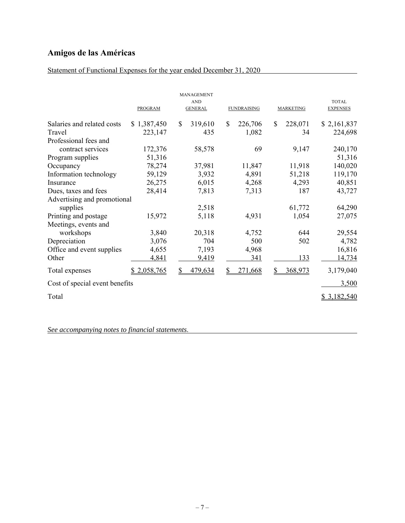## Statement of Functional Expenses for the year ended December 31, 2020

|                                | PROGRAM     | <b>MANAGEMENT</b><br><b>AND</b><br><b>GENERAL</b> |   | <b>FUNDRAISING</b> |    | <b>MARKETING</b> | <b>TOTAL</b><br><b>EXPENSES</b> |
|--------------------------------|-------------|---------------------------------------------------|---|--------------------|----|------------------|---------------------------------|
| Salaries and related costs     | \$1,387,450 | \$<br>319,610                                     | S | 226,706            | S  | 228,071          | \$2,161,837                     |
| Travel                         | 223,147     | 435                                               |   | 1,082              |    | 34               | 224,698                         |
| Professional fees and          |             |                                                   |   |                    |    |                  |                                 |
| contract services              | 172,376     | 58,578                                            |   | 69                 |    | 9,147            | 240,170                         |
| Program supplies               | 51,316      |                                                   |   |                    |    |                  | 51,316                          |
| Occupancy                      | 78,274      | 37,981                                            |   | 11,847             |    | 11,918           | 140,020                         |
| Information technology         | 59,129      | 3,932                                             |   | 4,891              |    | 51,218           | 119,170                         |
| Insurance                      | 26,275      | 6,015                                             |   | 4,268              |    | 4,293            | 40,851                          |
| Dues, taxes and fees           | 28,414      | 7,813                                             |   | 7,313              |    | 187              | 43,727                          |
| Advertising and promotional    |             |                                                   |   |                    |    |                  |                                 |
| supplies                       |             | 2,518                                             |   |                    |    | 61,772           | 64,290                          |
| Printing and postage           | 15,972      | 5,118                                             |   | 4,931              |    | 1,054            | 27,075                          |
| Meetings, events and           |             |                                                   |   |                    |    |                  |                                 |
| workshops                      | 3,840       | 20,318                                            |   | 4,752              |    | 644              | 29,554                          |
| Depreciation                   | 3,076       | 704                                               |   | 500                |    | 502              | 4,782                           |
| Office and event supplies      | 4,655       | 7,193                                             |   | 4,968              |    |                  | 16,816                          |
| Other                          | 4,841       | 9,419                                             |   | 341                |    | 133              | 14,734                          |
| Total expenses                 | \$2,058,765 | 479,634                                           | S | 271,668            | \$ | 368,973          | 3,179,040                       |
| Cost of special event benefits |             |                                                   |   |                    |    |                  | 3,500                           |
| Total                          |             |                                                   |   |                    |    |                  | \$ 3,182,540                    |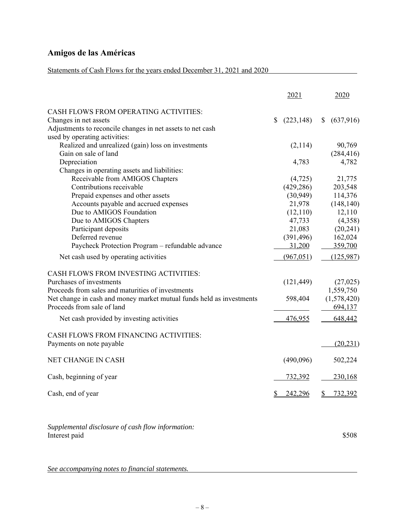## Statements of Cash Flows for the years ended December 31, 2021 and 2020

|                                                                      | 2021             | 2020            |
|----------------------------------------------------------------------|------------------|-----------------|
| CASH FLOWS FROM OPERATING ACTIVITIES:                                |                  |                 |
| Changes in net assets                                                | \$<br>(223, 148) | \$<br>(637,916) |
| Adjustments to reconcile changes in net assets to net cash           |                  |                 |
| used by operating activities:                                        |                  |                 |
| Realized and unrealized (gain) loss on investments                   | (2,114)          | 90,769          |
| Gain on sale of land                                                 |                  | (284, 416)      |
| Depreciation<br>Changes in operating assets and liabilities:         | 4,783            | 4,782           |
| Receivable from AMIGOS Chapters                                      | (4, 725)         | 21,775          |
| Contributions receivable                                             | (429, 286)       | 203,548         |
| Prepaid expenses and other assets                                    | (30, 949)        | 114,376         |
| Accounts payable and accrued expenses                                | 21,978           | (148, 140)      |
| Due to AMIGOS Foundation                                             | (12,110)         | 12,110          |
| Due to AMIGOS Chapters                                               | 47,733           | (4,358)         |
| Participant deposits                                                 | 21,083           | (20, 241)       |
| Deferred revenue                                                     | (391, 496)       | 162,024         |
| Paycheck Protection Program - refundable advance                     | 31,200           | 359,700         |
| Net cash used by operating activities                                | (967, 051)       | (125,987)       |
| <b>CASH FLOWS FROM INVESTING ACTIVITIES:</b>                         |                  |                 |
| Purchases of investments                                             | (121, 449)       | (27, 025)       |
| Proceeds from sales and maturities of investments                    |                  | 1,559,750       |
| Net change in cash and money market mutual funds held as investments | 598,404          | (1,578,420)     |
| Proceeds from sale of land                                           |                  | 694,137         |
| Net cash provided by investing activities                            | 476,955          | 648,442         |
| CASH FLOWS FROM FINANCING ACTIVITIES:                                |                  |                 |
| Payments on note payable                                             |                  | (20, 231)       |
| NET CHANGE IN CASH                                                   | (490,096)        | 502,224         |
| Cash, beginning of year                                              | 732,392          | 230,168         |
| Cash, end of year                                                    | 242,296<br>S     | 732,392         |
|                                                                      |                  |                 |
| Supplemental disclosure of cash flow information:                    |                  |                 |
| Interest paid                                                        |                  | \$508           |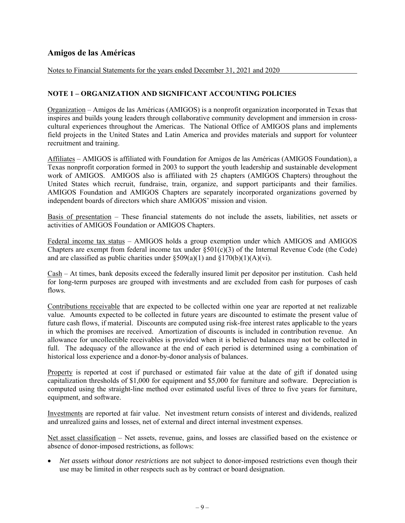Notes to Financial Statements for the years ended December 31, 2021 and 2020

## **NOTE 1 – ORGANIZATION AND SIGNIFICANT ACCOUNTING POLICIES**

Organization – Amigos de las Américas (AMIGOS) is a nonprofit organization incorporated in Texas that inspires and builds young leaders through collaborative community development and immersion in crosscultural experiences throughout the Americas. The National Office of AMIGOS plans and implements field projects in the United States and Latin America and provides materials and support for volunteer recruitment and training.

Affiliates – AMIGOS is affiliated with Foundation for Amigos de las Américas (AMIGOS Foundation), a Texas nonprofit corporation formed in 2003 to support the youth leadership and sustainable development work of AMIGOS. AMIGOS also is affiliated with 25 chapters (AMIGOS Chapters) throughout the United States which recruit, fundraise, train, organize, and support participants and their families. AMIGOS Foundation and AMIGOS Chapters are separately incorporated organizations governed by independent boards of directors which share AMIGOS' mission and vision.

Basis of presentation – These financial statements do not include the assets, liabilities, net assets or activities of AMIGOS Foundation or AMIGOS Chapters.

Federal income tax status – AMIGOS holds a group exemption under which AMIGOS and AMIGOS Chapters are exempt from federal income tax under  $\delta 501(c)(3)$  of the Internal Revenue Code (the Code) and are classified as public charities under  $\S509(a)(1)$  and  $\S170(b)(1)(A)(vi)$ .

Cash – At times, bank deposits exceed the federally insured limit per depositor per institution. Cash held for long-term purposes are grouped with investments and are excluded from cash for purposes of cash flows.

Contributions receivable that are expected to be collected within one year are reported at net realizable value. Amounts expected to be collected in future years are discounted to estimate the present value of future cash flows, if material. Discounts are computed using risk-free interest rates applicable to the years in which the promises are received. Amortization of discounts is included in contribution revenue. An allowance for uncollectible receivables is provided when it is believed balances may not be collected in full. The adequacy of the allowance at the end of each period is determined using a combination of historical loss experience and a donor-by-donor analysis of balances.

Property is reported at cost if purchased or estimated fair value at the date of gift if donated using capitalization thresholds of \$1,000 for equipment and \$5,000 for furniture and software. Depreciation is computed using the straight-line method over estimated useful lives of three to five years for furniture, equipment, and software.

Investments are reported at fair value. Net investment return consists of interest and dividends, realized and unrealized gains and losses, net of external and direct internal investment expenses.

Net asset classification – Net assets, revenue, gains, and losses are classified based on the existence or absence of donor-imposed restrictions, as follows:

 *Net assets without donor restrictions* are not subject to donor-imposed restrictions even though their use may be limited in other respects such as by contract or board designation.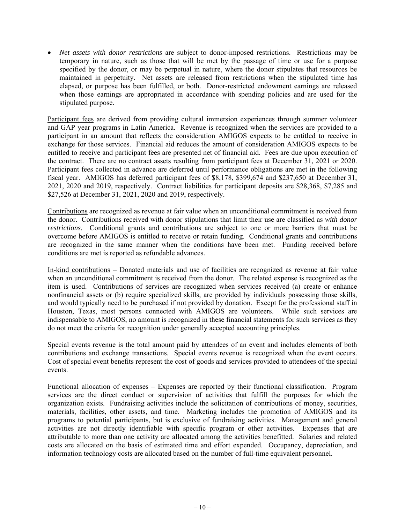*Net assets with donor restrictions* are subject to donor-imposed restrictions. Restrictions may be temporary in nature, such as those that will be met by the passage of time or use for a purpose specified by the donor, or may be perpetual in nature, where the donor stipulates that resources be maintained in perpetuity. Net assets are released from restrictions when the stipulated time has elapsed, or purpose has been fulfilled, or both. Donor-restricted endowment earnings are released when those earnings are appropriated in accordance with spending policies and are used for the stipulated purpose.

Participant fees are derived from providing cultural immersion experiences through summer volunteer and GAP year programs in Latin America. Revenue is recognized when the services are provided to a participant in an amount that reflects the consideration AMIGOS expects to be entitled to receive in exchange for those services. Financial aid reduces the amount of consideration AMIGOS expects to be entitled to receive and participant fees are presented net of financial aid. Fees are due upon execution of the contract. There are no contract assets resulting from participant fees at December 31, 2021 or 2020. Participant fees collected in advance are deferred until performance obligations are met in the following fiscal year. AMIGOS has deferred participant fees of \$8,178, \$399,674 and \$237,650 at December 31, 2021, 2020 and 2019, respectively. Contract liabilities for participant deposits are \$28,368, \$7,285 and \$27,526 at December 31, 2021, 2020 and 2019, respectively.

Contributions are recognized as revenue at fair value when an unconditional commitment is received from the donor. Contributions received with donor stipulations that limit their use are classified as *with donor restrictions*. Conditional grants and contributions are subject to one or more barriers that must be overcome before AMIGOS is entitled to receive or retain funding. Conditional grants and contributions are recognized in the same manner when the conditions have been met. Funding received before conditions are met is reported as refundable advances.

In-kind contributions – Donated materials and use of facilities are recognized as revenue at fair value when an unconditional commitment is received from the donor. The related expense is recognized as the item is used. Contributions of services are recognized when services received (a) create or enhance nonfinancial assets or (b) require specialized skills, are provided by individuals possessing those skills, and would typically need to be purchased if not provided by donation. Except for the professional staff in Houston, Texas, most persons connected with AMIGOS are volunteers. While such services are indispensable to AMIGOS, no amount is recognized in these financial statements for such services as they do not meet the criteria for recognition under generally accepted accounting principles.

Special events revenue is the total amount paid by attendees of an event and includes elements of both contributions and exchange transactions. Special events revenue is recognized when the event occurs. Cost of special event benefits represent the cost of goods and services provided to attendees of the special events.

Functional allocation of expenses – Expenses are reported by their functional classification. Program services are the direct conduct or supervision of activities that fulfill the purposes for which the organization exists. Fundraising activities include the solicitation of contributions of money, securities, materials, facilities, other assets, and time. Marketing includes the promotion of AMIGOS and its programs to potential participants, but is exclusive of fundraising activities. Management and general activities are not directly identifiable with specific program or other activities. Expenses that are attributable to more than one activity are allocated among the activities benefitted. Salaries and related costs are allocated on the basis of estimated time and effort expended. Occupancy, depreciation, and information technology costs are allocated based on the number of full-time equivalent personnel.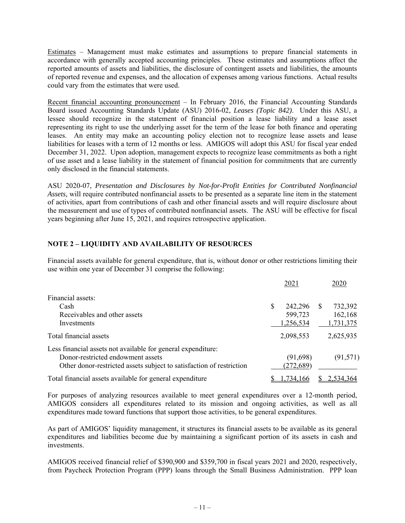Estimates – Management must make estimates and assumptions to prepare financial statements in accordance with generally accepted accounting principles. These estimates and assumptions affect the reported amounts of assets and liabilities, the disclosure of contingent assets and liabilities, the amounts of reported revenue and expenses, and the allocation of expenses among various functions. Actual results could vary from the estimates that were used.

Recent financial accounting pronouncement – In February 2016, the Financial Accounting Standards Board issued Accounting Standards Update (ASU) 2016-02, *Leases (Topic 842)*. Under this ASU, a lessee should recognize in the statement of financial position a lease liability and a lease asset representing its right to use the underlying asset for the term of the lease for both finance and operating leases. An entity may make an accounting policy election not to recognize lease assets and lease liabilities for leases with a term of 12 months or less. AMIGOS will adopt this ASU for fiscal year ended December 31, 2022. Upon adoption, management expects to recognize lease commitments as both a right of use asset and a lease liability in the statement of financial position for commitments that are currently only disclosed in the financial statements.

ASU 2020-07, *Presentation and Disclosures by Not-for-Profit Entities for Contributed Nonfinancial Assets,* will require contributed nonfinancial assets to be presented as a separate line item in the statement of activities, apart from contributions of cash and other financial assets and will require disclosure about the measurement and use of types of contributed nonfinancial assets. The ASU will be effective for fiscal years beginning after June 15, 2021, and requires retrospective application.

## **NOTE 2 – LIQUIDITY AND AVAILABILITY OF RESOURCES**

Financial assets available for general expenditure, that is, without donor or other restrictions limiting their use within one year of December 31 comprise the following:

|                                                                                                                                                                           |   | 2021                   |          | 2020      |
|---------------------------------------------------------------------------------------------------------------------------------------------------------------------------|---|------------------------|----------|-----------|
| Financial assets:                                                                                                                                                         |   |                        |          |           |
| Cash                                                                                                                                                                      | S | 242,296                | <b>S</b> | 732,392   |
| Receivables and other assets                                                                                                                                              |   | 599,723                |          | 162,168   |
| Investments                                                                                                                                                               |   | 1,256,534              |          | 1,731,375 |
| Total financial assets                                                                                                                                                    |   | 2,098,553              |          | 2,625,935 |
| Less financial assets not available for general expenditure:<br>Donor-restricted endowment assets<br>Other donor-restricted assets subject to satisfaction of restriction |   | (91,698)<br>(272, 689) |          | (91, 571) |
| Total financial assets available for general expenditure                                                                                                                  |   | .734,166               |          | 2.534.364 |

For purposes of analyzing resources available to meet general expenditures over a 12-month period, AMIGOS considers all expenditures related to its mission and ongoing activities, as well as all expenditures made toward functions that support those activities, to be general expenditures.

As part of AMIGOS' liquidity management, it structures its financial assets to be available as its general expenditures and liabilities become due by maintaining a significant portion of its assets in cash and investments.

AMIGOS received financial relief of \$390,900 and \$359,700 in fiscal years 2021 and 2020, respectively, from Paycheck Protection Program (PPP) loans through the Small Business Administration. PPP loan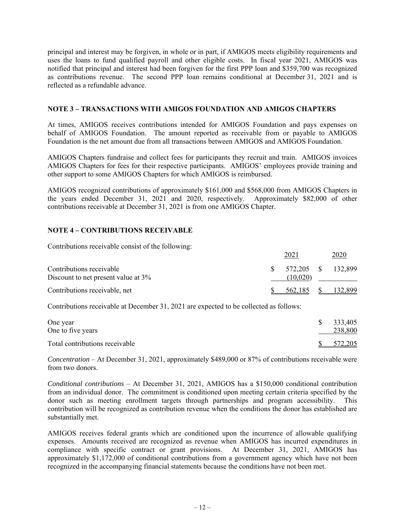principal and interest may be forgiven, in whole or in part, if AMIGOS meets eligibility requirements and uses the loans to fund qualified payroll and other eligible costs. In fiscal year 2021, AMIGOS was notified that principal and interest had been forgiven for the first PPP loan and \$359,700 was recognized as contributions revenue. The second PPP loan remains conditional at December 31, 2021 and is reflected as a refundable advance.

## **NOTE 3 – TRANSACTIONS WITH AMIGOS FOUNDATION AND AMIGOS CHAPTERS**

At times, AMIGOS receives contributions intended for AMIGOS Foundation and pays expenses on behalf of AMIGOS Foundation. The amount reported as receivable from or payable to AMIGOS Foundation is the net amount due from all transactions between AMIGOS and AMIGOS Foundation.

AMIGOS Chapters fundraise and collect fees for participants they recruit and train. AMIGOS invoices AMIGOS Chapters for fees for their respective participants. AMIGOS' employees provide training and other support to some AMIGOS Chapters for which AMIGOS is reimbursed.

AMIGOS recognized contributions of approximately \$161,000 and \$568,000 from AMIGOS Chapters in the years ended December 31, 2021 and 2020, respectively. Approximately \$82,000 of other contributions receivable at December 31, 2021 is from one AMIGOS Chapter.

## **NOTE 4 – CONTRIBUTIONS RECEIVABLE**

Contributions receivable consist of the following:

|                                                                 |               | 2021                           | 2020 |
|-----------------------------------------------------------------|---------------|--------------------------------|------|
| Contributions receivable<br>Discount to net present value at 3% | $\mathcal{S}$ | 572,205 \$ 132,899<br>(10.020) |      |
| Contributions receivable, net                                   |               | 562,185 \$ 132,899             |      |

Contributions receivable at December 31, 2021 are expected to be collected as follows:

| One year                       | <sup>S</sup> | 333,405 |
|--------------------------------|--------------|---------|
| One to five years              |              | 238,800 |
| Total contributions receivable |              | 572,205 |

*Concentration* – At December 31, 2021, approximately \$489,000 or 87% of contributions receivable were from two donors.

*Conditional contributions* – At December 31, 2021, AMIGOS has a \$150,000 conditional contribution from an individual donor. The commitment is conditioned upon meeting certain criteria specified by the donor such as meeting enrollment targets through partnerships and program accessibility. This contribution will be recognized as contribution revenue when the conditions the donor has established are substantially met.

AMIGOS receives federal grants which are conditioned upon the incurrence of allowable qualifying expenses. Amounts received are recognized as revenue when AMIGOS has incurred expenditures in compliance with specific contract or grant provisions. At December 31, 2021, AMIGOS has approximately \$1,172,000 of conditional contributions from a government agency which have not been recognized in the accompanying financial statements because the conditions have not been met.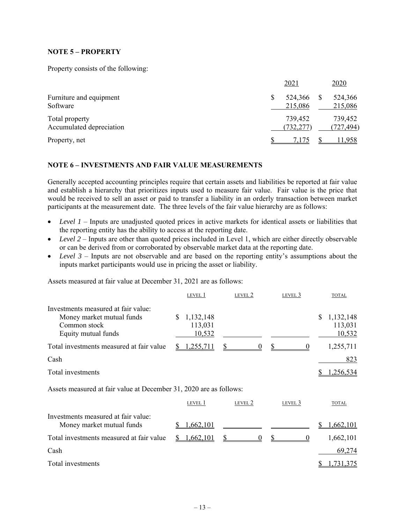### **NOTE 5 – PROPERTY**

Property consists of the following:

|                          | 2021       | 2020       |
|--------------------------|------------|------------|
| Furniture and equipment  | 524,366    | 524,366    |
| Software                 | 215,086    | 215,086    |
| Total property           | 739,452    | 739,452    |
| Accumulated depreciation | (732, 277) | (727, 494) |
| Property, net            | 7.175      | 11,958     |

## **NOTE 6 – INVESTMENTS AND FAIR VALUE MEASUREMENTS**

Generally accepted accounting principles require that certain assets and liabilities be reported at fair value and establish a hierarchy that prioritizes inputs used to measure fair value. Fair value is the price that would be received to sell an asset or paid to transfer a liability in an orderly transaction between market participants at the measurement date. The three levels of the fair value hierarchy are as follows:

- *Level 1* Inputs are unadjusted quoted prices in active markets for identical assets or liabilities that the reporting entity has the ability to access at the reporting date.
- Level 2 Inputs are other than quoted prices included in Level 1, which are either directly observable or can be derived from or corroborated by observable market data at the reporting date.
- *Level 3* Inputs are not observable and are based on the reporting entity's assumptions about the inputs market participants would use in pricing the asset or liability.

Assets measured at fair value at December 31, 2021 are as follows:

|                                                                                                         | LEVEL 1                               | LEVEL 2       | LEVEL 3       | <b>TOTAL</b>                         |
|---------------------------------------------------------------------------------------------------------|---------------------------------------|---------------|---------------|--------------------------------------|
| Investments measured at fair value:<br>Money market mutual funds<br>Common stock<br>Equity mutual funds | 1,132,148<br>\$.<br>113,031<br>10,532 |               |               | \$<br>1,132,148<br>113,031<br>10,532 |
| Total investments measured at fair value                                                                | 1,255,711                             | S<br>$^{(1)}$ | S<br>$\theta$ | 1,255,711                            |
| Cash                                                                                                    |                                       |               |               | 823                                  |
| Total investments                                                                                       |                                       |               |               | 1,256,534                            |
| Assets measured at fair value at December 31, 2020 are as follows:                                      |                                       |               |               |                                      |
|                                                                                                         | LEVEL 1                               | LEVEL 2       | LEVEL 3       | <b>TOTAL</b>                         |
| Investments measured at fair value:<br>Money market mutual funds                                        | 1,662,101<br>S                        |               |               | 1,662,101<br>S                       |
| Total investments measured at fair value                                                                | 1,662,101                             | $\Omega$      | $\Omega$      | 1,662,101                            |
| Cash                                                                                                    |                                       |               |               | 69,274                               |
| Total investments                                                                                       |                                       |               |               | 1,731,375                            |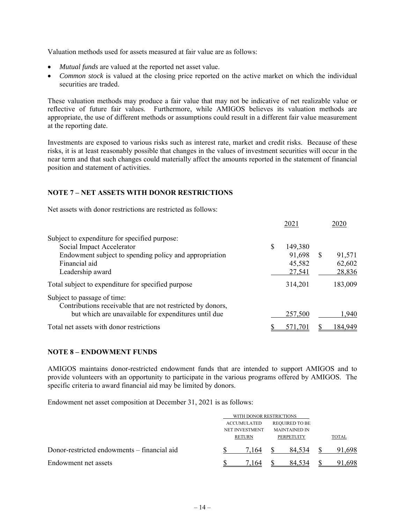Valuation methods used for assets measured at fair value are as follows:

- *Mutual funds* are valued at the reported net asset value.
- *Common stock* is valued at the closing price reported on the active market on which the individual securities are traded.

These valuation methods may produce a fair value that may not be indicative of net realizable value or reflective of future fair values. Furthermore, while AMIGOS believes its valuation methods are appropriate, the use of different methods or assumptions could result in a different fair value measurement at the reporting date.

Investments are exposed to various risks such as interest rate, market and credit risks. Because of these risks, it is at least reasonably possible that changes in the values of investment securities will occur in the near term and that such changes could materially affect the amounts reported in the statement of financial position and statement of activities.

## **NOTE 7 – NET ASSETS WITH DONOR RESTRICTIONS**

Net assets with donor restrictions are restricted as follows:

|                                                                                            |   | 2021    |          |         |
|--------------------------------------------------------------------------------------------|---|---------|----------|---------|
| Subject to expenditure for specified purpose:                                              |   |         |          |         |
| Social Impact Accelerator                                                                  | S | 149,380 |          |         |
| Endowment subject to spending policy and appropriation                                     |   | 91,698  | <b>S</b> | 91,571  |
| Financial aid                                                                              |   | 45,582  |          | 62,602  |
| Leadership award                                                                           |   | 27,541  |          | 28,836  |
| Total subject to expenditure for specified purpose                                         |   | 314,201 |          | 183,009 |
| Subject to passage of time:<br>Contributions receivable that are not restricted by donors, |   |         |          |         |
| but which are unavailable for expenditures until due                                       |   | 257,500 |          | 1,940   |
| Total net assets with donor restrictions                                                   |   | 571.70  |          | 184,949 |

## **NOTE 8 – ENDOWMENT FUNDS**

AMIGOS maintains donor-restricted endowment funds that are intended to support AMIGOS and to provide volunteers with an opportunity to participate in the various programs offered by AMIGOS. The specific criteria to award financial aid may be limited by donors.

Endowment net asset composition at December 31, 2021 is as follows:

|                                             |                                             | WITH DONOR RESTRICTIONS |                      |                       |  |        |  |
|---------------------------------------------|---------------------------------------------|-------------------------|----------------------|-----------------------|--|--------|--|
|                                             | <b>ACCUMULATED</b><br><b>NET INVESTMENT</b> |                         |                      | <b>REQUIRED TO BE</b> |  |        |  |
|                                             |                                             |                         | <b>MAINTAINED IN</b> |                       |  |        |  |
|                                             |                                             | RETURN                  |                      | PERPETUITY            |  | TOTAL  |  |
| Donor-restricted endowments – financial aid |                                             | 7.164                   |                      | 84.534                |  | 91.698 |  |
| Endowment net assets                        |                                             | 164                     |                      | 84.534                |  | 91.698 |  |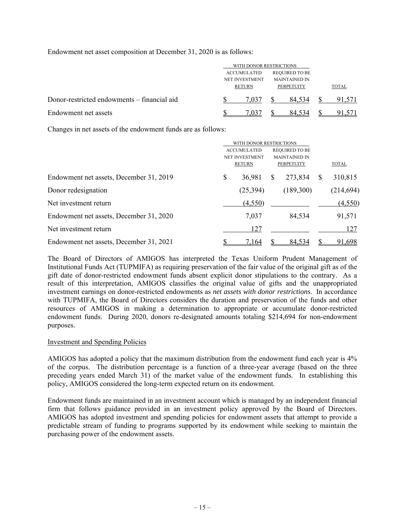Endowment net asset composition at December 31, 2020 is as follows:

|                                             | WITH DONOR RESTRICTIONS |       |                      |                       |       |        |
|---------------------------------------------|-------------------------|-------|----------------------|-----------------------|-------|--------|
|                                             | <b>ACCUMULATED</b>      |       |                      | <b>REQUIRED TO BE</b> |       |        |
|                                             | <b>NET INVESTMENT</b>   |       | <b>MAINTAINED IN</b> |                       |       |        |
|                                             | <b>RETURN</b>           |       | PERPETUITY           |                       | TOTAL |        |
| Donor-restricted endowments – financial aid |                         | 7.037 |                      | 84.534                |       | 91.571 |
| Endowment net assets                        |                         | 7.037 |                      | 84.534                |       |        |

Changes in net assets of the endowment funds are as follows:

| WITH DONOR RESTRICTIONS                 |                                        |           |                                    |                       |   |              |
|-----------------------------------------|----------------------------------------|-----------|------------------------------------|-----------------------|---|--------------|
|                                         | <b>ACCUMULATED</b>                     |           |                                    | <b>REQUIRED TO BE</b> |   |              |
|                                         | <b>NET INVESTMENT</b><br><b>RETURN</b> |           | <b>MAINTAINED IN</b><br>PERPETUITY |                       |   |              |
|                                         |                                        |           |                                    |                       |   | <b>TOTAL</b> |
| Endowment net assets, December 31, 2019 | \$                                     | 36,981    | S                                  | 273,834               | S | 310,815      |
| Donor redesignation                     |                                        | (25, 394) |                                    | (189,300)             |   | (214, 694)   |
| Net investment return                   |                                        | (4,550)   |                                    |                       |   | (4, 550)     |
| Endowment net assets, December 31, 2020 |                                        | 7,037     |                                    | 84,534                |   | 91,571       |
| Net investment return                   |                                        | 127       |                                    |                       |   | 127          |
| Endowment net assets, December 31, 2021 |                                        | 7,164     |                                    | <u>84,534</u>         |   | 91,698       |

The Board of Directors of AMIGOS has interpreted the Texas Uniform Prudent Management of Institutional Funds Act (TUPMIFA) as requiring preservation of the fair value of the original gift as of the gift date of donor-restricted endowment funds absent explicit donor stipulations to the contrary. As a result of this interpretation, AMIGOS classifies the original value of gifts and the unappropriated investment earnings on donor-restricted endowments as *net assets with donor restrictions*. In accordance with TUPMIFA, the Board of Directors considers the duration and preservation of the funds and other resources of AMIGOS in making a determination to appropriate or accumulate donor-restricted endowment funds. During 2020, donors re-designated amounts totaling \$214,694 for non-endowment purposes.

## Investment and Spending Policies

AMIGOS has adopted a policy that the maximum distribution from the endowment fund each year is 4% of the corpus. The distribution percentage is a function of a three-year average (based on the three preceding years ended March 31) of the market value of the endowment funds. In establishing this policy, AMIGOS considered the long-term expected return on its endowment.

Endowment funds are maintained in an investment account which is managed by an independent financial firm that follows guidance provided in an investment policy approved by the Board of Directors. AMIGOS has adopted investment and spending policies for endowment assets that attempt to provide a predictable stream of funding to programs supported by its endowment while seeking to maintain the purchasing power of the endowment assets.